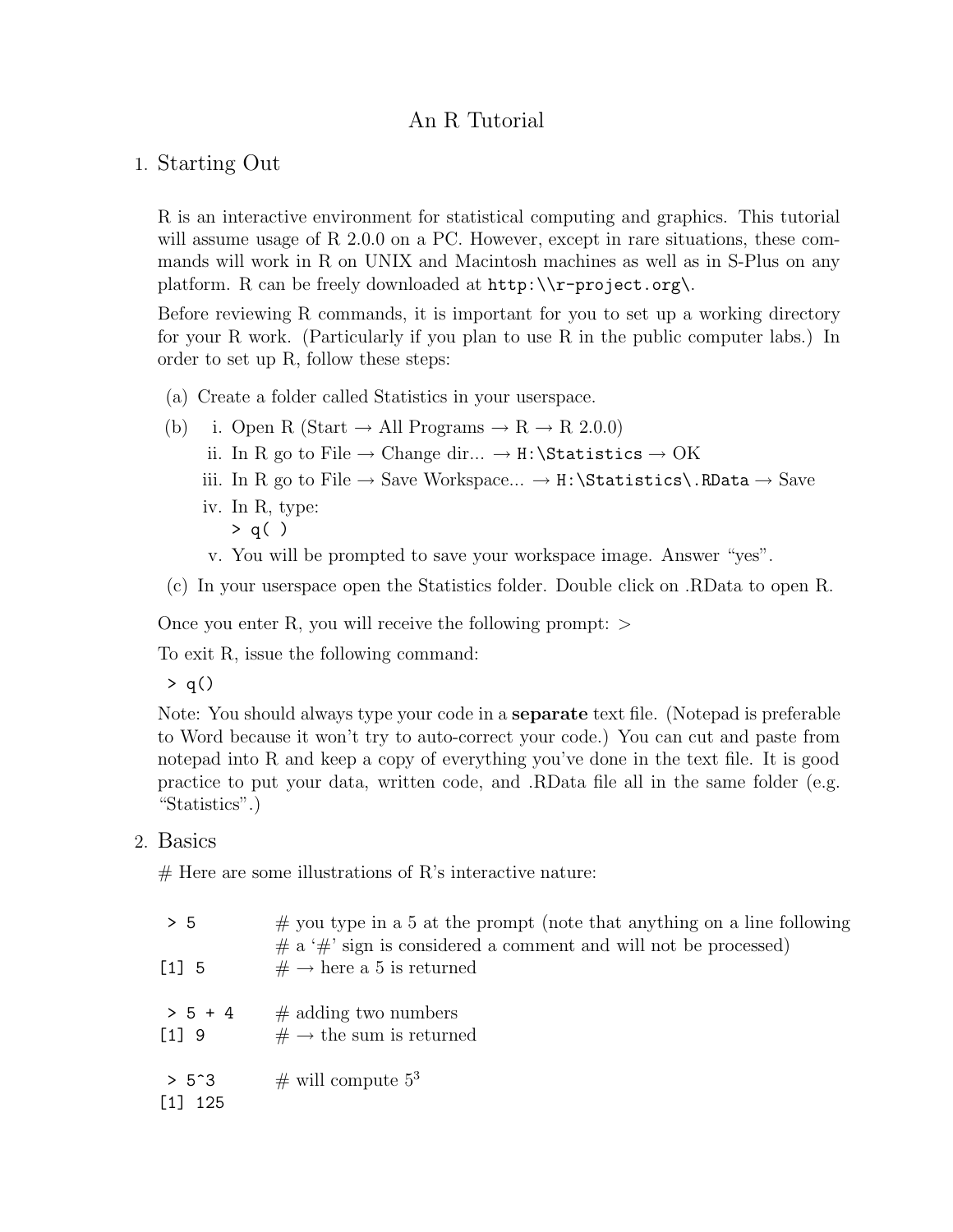# An R Tutorial

#### 1. Starting Out

R is an interactive environment for statistical computing and graphics. This tutorial will assume usage of R 2.0.0 on a PC. However, except in rare situations, these commands will work in R on UNIX and Macintosh machines as well as in S-Plus on any platform. R can be freely downloaded at http:\\r-project.org\.

Before reviewing R commands, it is important for you to set up a working directory for your R work. (Particularly if you plan to use R in the public computer labs.) In order to set up R, follow these steps:

- (a) Create a folder called Statistics in your userspace.
- (b) i. Open R (Start  $\rightarrow$  All Programs  $\rightarrow$  R  $\rightarrow$  R 2.0.0) ii. In R go to File  $\rightarrow$  Change dir...  $\rightarrow$  H:\Statistics  $\rightarrow$  OK iii. In R go to File  $\rightarrow$  Save Workspace...  $\rightarrow$  H:\Statistics\.RData  $\rightarrow$  Save iv. In R, type: > q( )
	- v. You will be prompted to save your workspace image. Answer "yes".

(c) In your userspace open the Statistics folder. Double click on .RData to open R.

Once you enter R, you will receive the following prompt:  $>$ 

To exit R, issue the following command:

 $> q()$ 

Note: You should always type your code in a **separate** text file. (Notepad is preferable to Word because it won't try to auto-correct your code.) You can cut and paste from notepad into R and keep a copy of everything you've done in the text file. It is good practice to put your data, written code, and .RData file all in the same folder (e.g. "Statistics".)

#### 2. Basics

 $#$  Here are some illustrations of R's interactive nature:

| $> 5$<br>$\begin{bmatrix} 1 \end{bmatrix}$ 5 | $\#$ you type in a 5 at the prompt (note that anything on a line following<br>$\#$ a ' $\#$ ' sign is considered a comment and will not be processed)<br>$# \rightarrow$ here a 5 is returned |
|----------------------------------------------|-----------------------------------------------------------------------------------------------------------------------------------------------------------------------------------------------|
| $> 5 + 4$<br>$[1]$ 9                         | $\#$ adding two numbers<br>$# \rightarrow$ the sum is returned                                                                                                                                |
| $> 5^{\circ}3$<br>$[1]$ 125                  | # will compute $5^3$                                                                                                                                                                          |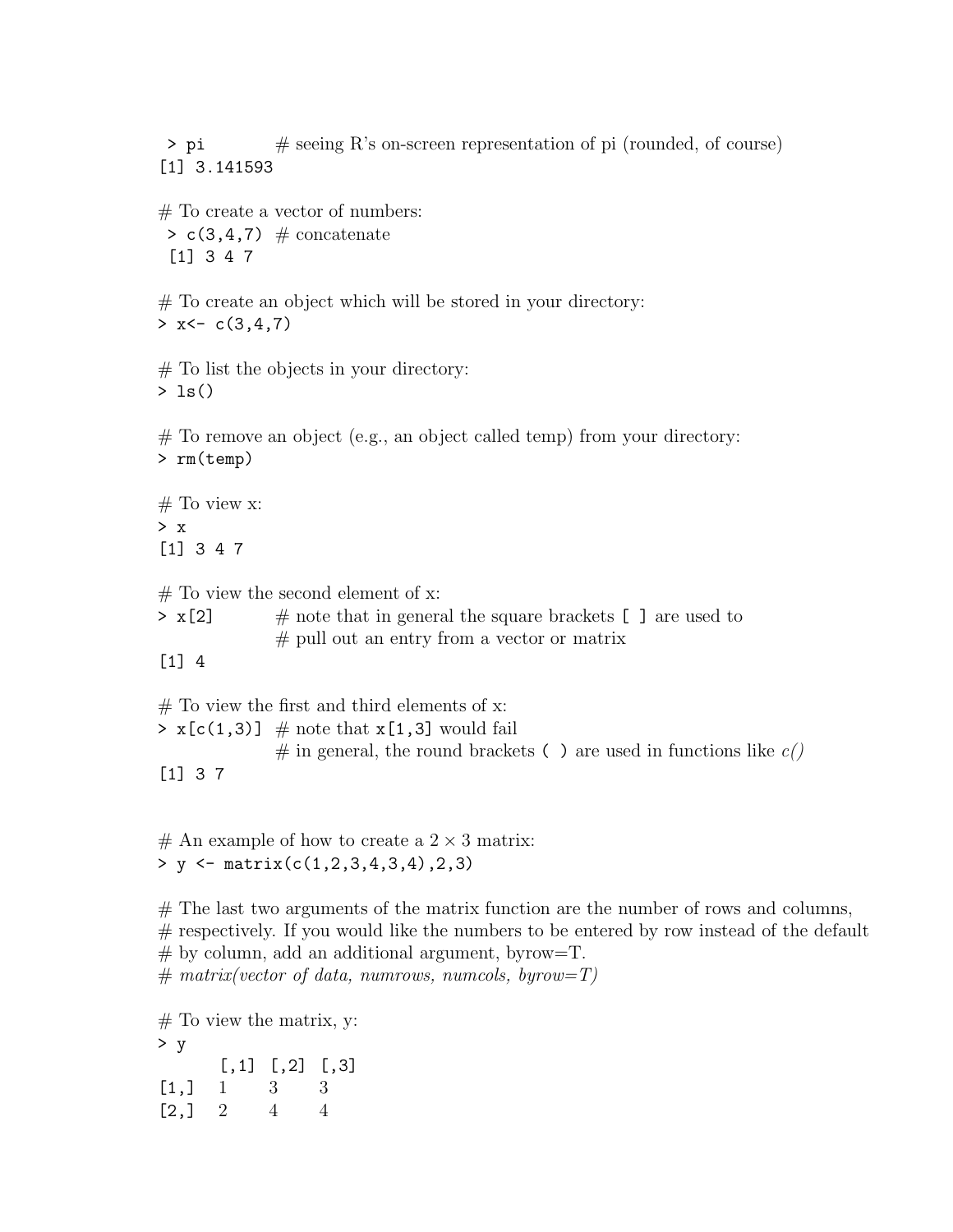> pi # seeing R's on-screen representation of pi (rounded, of course) [1] 3.141593

# To create a vector of numbers:  $> c(3, 4, 7)$  # concatenate [1] 3 4 7

# To create an object which will be stored in your directory:  $> x < -c(3, 4, 7)$ 

 $#$  To list the objects in your directory:  $> 1s()$ 

# To remove an object (e.g., an object called temp) from your directory: > rm(temp)

 $#$  To view x: > x [1] 3 4 7

 $#$  To view the second element of x:

 $> x[2]$  # note that in general the square brackets [ ] are used to # pull out an entry from a vector or matrix

[1] 4

 $#$  To view the first and third elements of x:  $> x[c(1,3)] \#$  note that  $x[1,3]$  would fail  $#$  in general, the round brackets  $( )$  are used in functions like  $c()$ [1] 3 7

 $#$  An example of how to create a  $2 \times 3$  matrix: > y <- matrix(c(1,2,3,4,3,4),2,3)

 $#$  The last two arguments of the matrix function are the number of rows and columns, # respectively. If you would like the numbers to be entered by row instead of the default  $#$  by column, add an additional argument, byrow=T. # *matrix(vector of data, numrows, numcols, byrow=T)*

 $#$  To view the matrix, y: > y  $[,1]$   $[,2]$   $[,3]$  $[1,] 1 3 3$  $[2,] 2 4 4$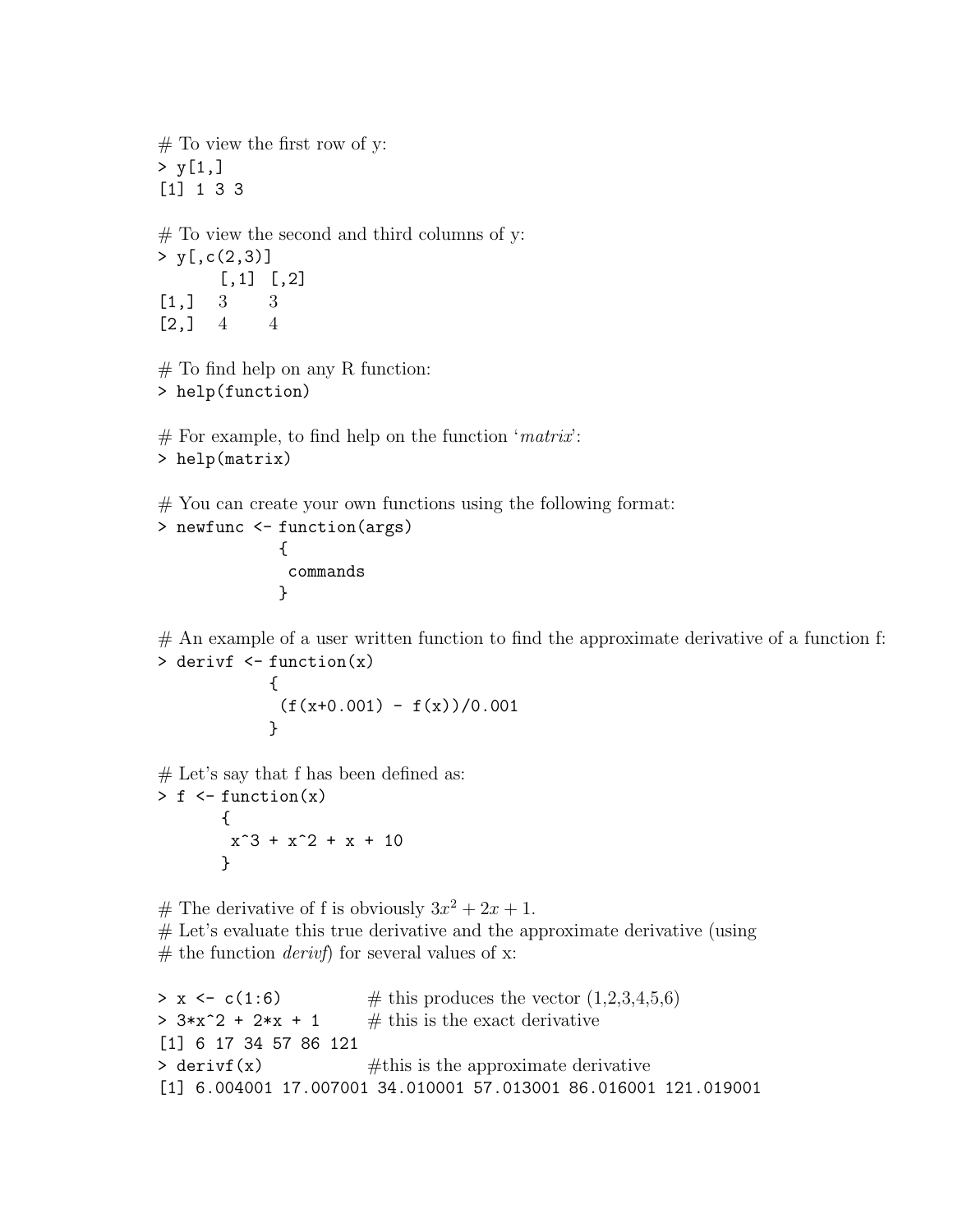$#$  To view the first row of y:  $> y[1,]$ [1] 1 3 3  $#$  To view the second and third columns of y:  $> y[, c(2,3)]$  $[,1]$   $[,2]$  $[1,] 3 3$  $[2, 1 \ 4 \ 4$  $#$  To find help on any R function: > help(function) # For example, to find help on the function '*matrix*': > help(matrix) # You can create your own functions using the following format: > newfunc <- function(args) {

commands }

 $#$  An example of a user written function to find the approximate derivative of a function f: > derivf <- function(x)

$$
\begin{array}{l} {\{ \atop { \hbox{ (f (x+0.001) - f (x) )/0.001}} \} } \\ \end{array}
$$

 $#$  Let's say that f has been defined as:

 $> f \leftarrow function(x)$ {  $x^3 + x^2 + x + 10$ }

# The derivative of f is obviously  $3x^2 + 2x + 1$ . # Let's evaluate this true derivative and the approximate derivative (using # the function *derivf*) for several values of x:

```
> x \leq c(1:6) # this produces the vector (1,2,3,4,5,6)> 3*x^2 + 2*x + 1 # this is the exact derivative
[1] 6 17 34 57 86 121
\rightarrow derivit(x) \#this is the approximate derivative
[1] 6.004001 17.007001 34.010001 57.013001 86.016001 121.019001
```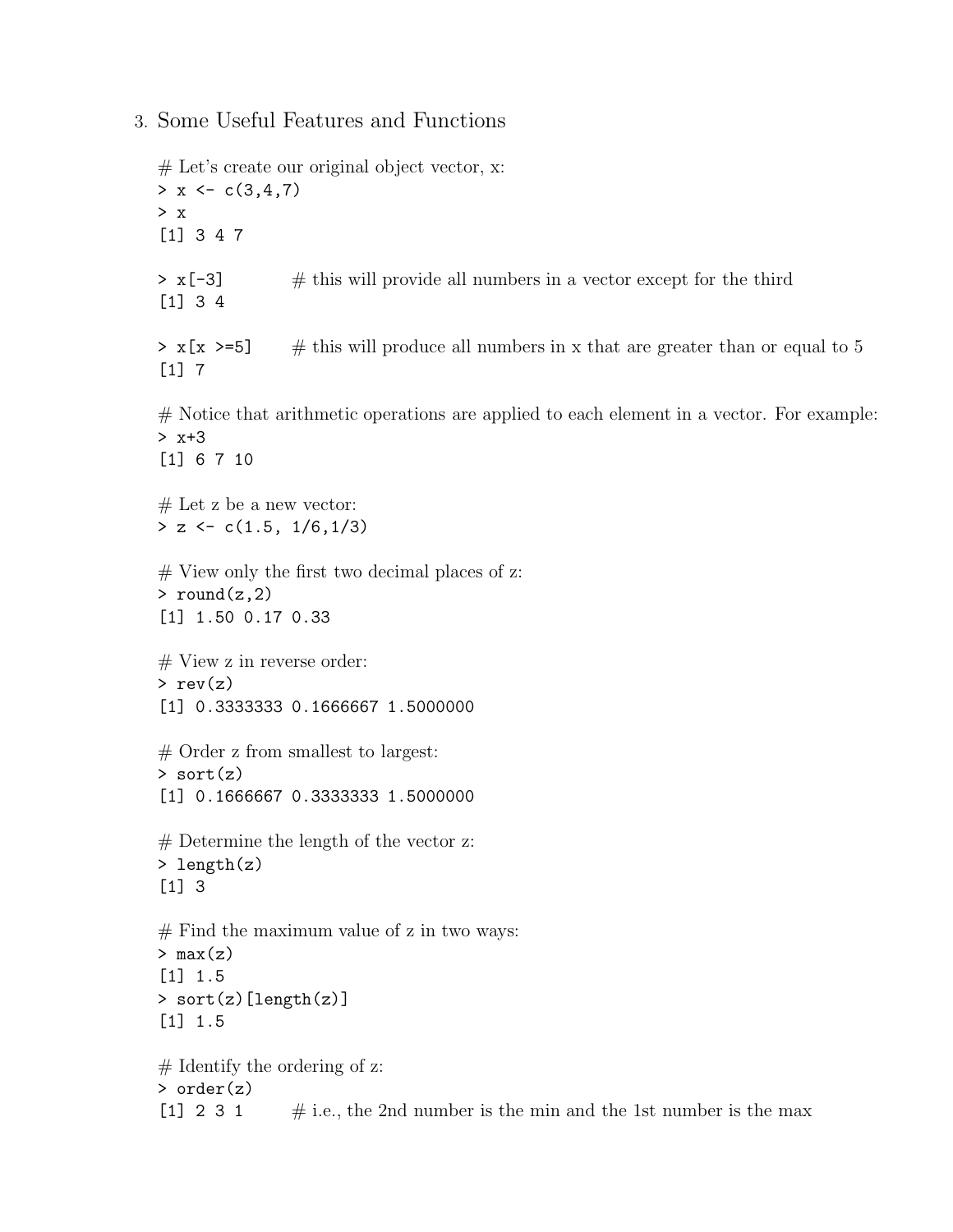## 3. Some Useful Features and Functions

# Let's create our original object vector, x:  $> x < -c(3,4,7)$ > x [1] 3 4 7  $> x[-3]$  # this will provide all numbers in a vector except for the third [1] 3 4  $> x[x \geq -5]$  # this will produce all numbers in x that are greater than or equal to 5 [1] 7  $#$  Notice that arithmetic operations are applied to each element in a vector. For example: > x+3 [1] 6 7 10  $#$  Let z be a new vector:  $> z \leftarrow c(1.5, 1/6, 1/3)$  $#$  View only the first two decimal places of z:  $>$  round(z,2) [1] 1.50 0.17 0.33  $#$  View z in reverse order:  $> rev(z)$ [1] 0.3333333 0.1666667 1.5000000 # Order z from smallest to largest:  $>$  sort $(z)$ [1] 0.1666667 0.3333333 1.5000000 # Determine the length of the vector z: > length(z) [1] 3  $#$  Find the maximum value of z in two ways:  $> max(z)$ [1] 1.5 > sort(z)[length(z)] [1] 1.5  $#$  Identify the ordering of z: > order(z) [1] 2 3 1  $\#$  i.e., the 2nd number is the min and the 1st number is the max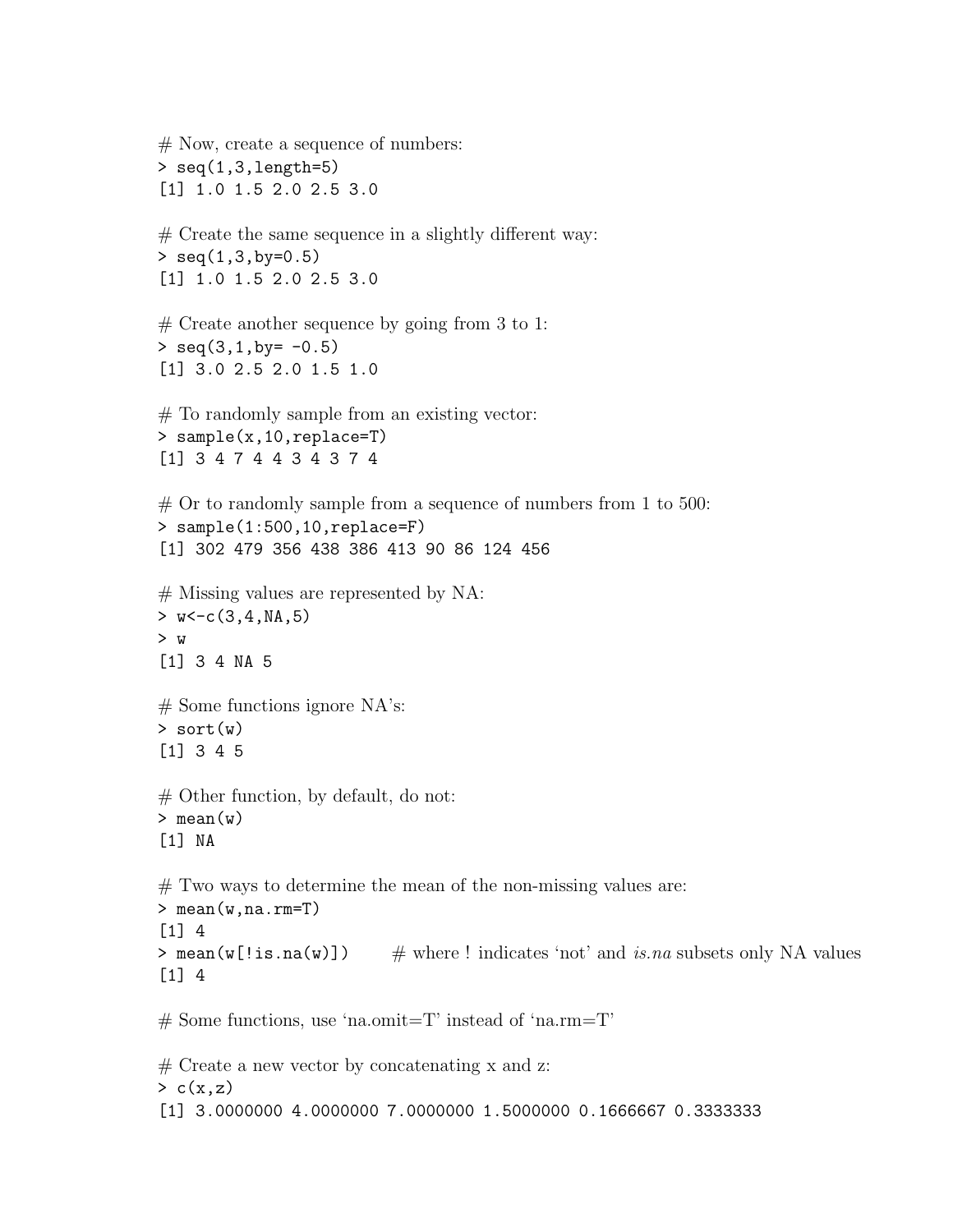# Now, create a sequence of numbers: > seq(1,3,length=5) [1] 1.0 1.5 2.0 2.5 3.0 # Create the same sequence in a slightly different way:  $>$  seq $(1,3,by=0.5)$ [1] 1.0 1.5 2.0 2.5 3.0  $#$  Create another sequence by going from 3 to 1:  $>$  seq(3,1,by=  $-0.5$ ) [1] 3.0 2.5 2.0 1.5 1.0 # To randomly sample from an existing vector: > sample(x,10,replace=T) [1] 3 4 7 4 4 3 4 3 7 4  $#$  Or to randomly sample from a sequence of numbers from 1 to 500: > sample(1:500,10,replace=F) [1] 302 479 356 438 386 413 90 86 124 456 # Missing values are represented by NA:  $> w < -c(3, 4, NA, 5)$ > w [1] 3 4 NA 5  $#$  Some functions ignore NA's:  $>$  sort $(w)$ [1] 3 4 5  $#$  Other function, by default, do not:  $>$  mean(w) [1] NA # Two ways to determine the mean of the non-missing values are: > mean(w,na.rm=T) [1] 4  $>$  mean(w[!is.na(w)])  $\#$  where ! indicates 'not' and *is.na* subsets only NA values [1] 4  $#$  Some functions, use 'na.omit=T' instead of 'na.rm=T'

 $#$  Create a new vector by concatenating x and z:  $> c(x,z)$ [1] 3.0000000 4.0000000 7.0000000 1.5000000 0.1666667 0.3333333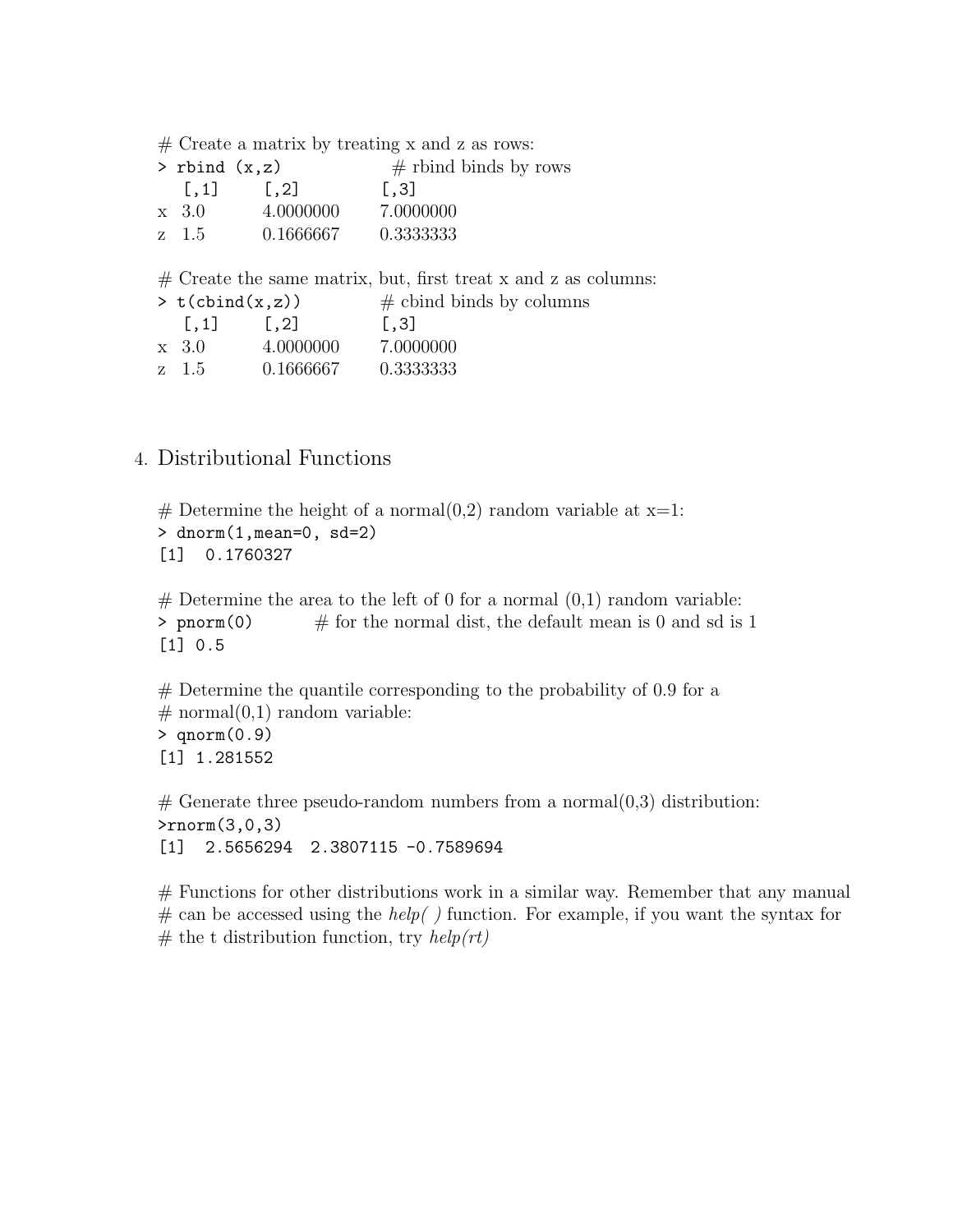# Create a matrix by treating x and z as rows:

| $>$ rbind $(x,z)$ |                      | $\#$ rbind binds by rows |
|-------------------|----------------------|--------------------------|
| $\vert .1 \vert$  | $\lfloor .2 \rfloor$ | $\vert .3 \vert$         |
| $\rm x$ 3.0       | 4.0000000            | 7.0000000                |
| z 1.5             | 0.1666667            | 0.3333333                |

# Create the same matrix, but, first treat x and z as columns:

| $> t$ (cbind $(x, z)$ ) |                  | $\#$ cbind binds by columns |  |
|-------------------------|------------------|-----------------------------|--|
| $\vert .1 \vert$        | $\vert .2 \vert$ | $\vert .3 \vert$            |  |
| $\rm x$ 3.0             | 4.0000000        | 7.0000000                   |  |
| z 1.5                   | 0.1666667        | 0.3333333                   |  |

## 4. Distributional Functions

# Determine the height of a normal $(0,2)$  random variable at x=1:  $>$  dnorm $(1,$ mean=0, sd=2) [1] 0.1760327

 $#$  Determine the area to the left of 0 for a normal  $(0,1)$  random variable: > pnorm(0)  $\#$  for the normal dist, the default mean is 0 and sd is 1 [1] 0.5

 $#$  Determine the quantile corresponding to the probability of 0.9 for a  $\#$  normal $(0,1)$  random variable: > qnorm(0.9) [1] 1.281552

 $#$  Generate three pseudo-random numbers from a normal $(0,3)$  distribution: >rnorm(3,0,3) [1] 2.5656294 2.3807115 -0.7589694

# Functions for other distributions work in a similar way. Remember that any manual # can be accessed using the *help( )* function. For example, if you want the syntax for # the t distribution function, try *help(rt)*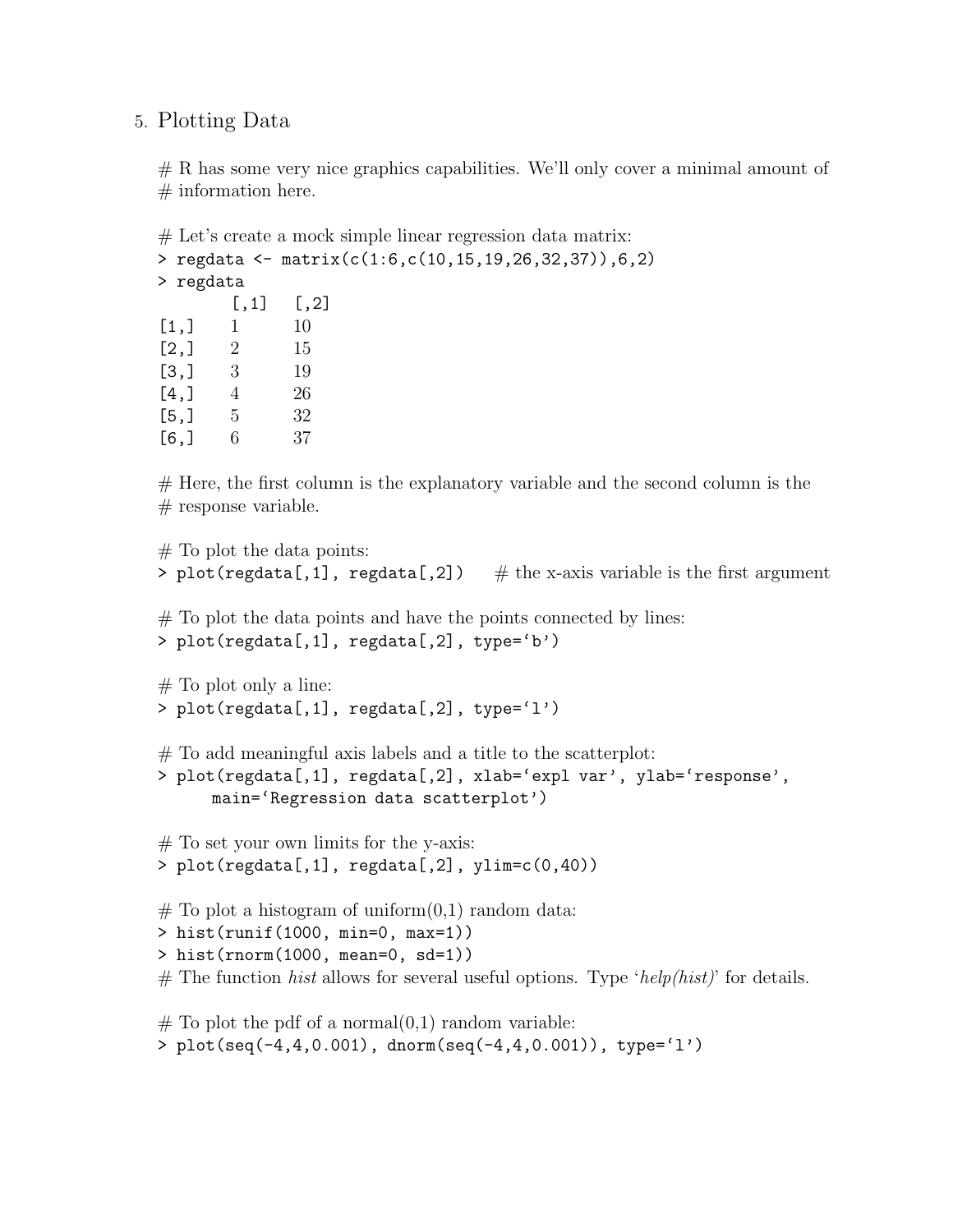## 5. Plotting Data

# R has some very nice graphics capabilities. We'll only cover a minimal amount of  $#$  information here.

# Let's create a mock simple linear regression data matrix: > regdata <- matrix(c(1:6,c(10,15,19,26,32,37)),6,2) > regdata  $[,1]$   $[,2]$  $[1,]$  1 10  $[2,] 2 15$ [3,] 3 19  $[4,] 4$  26  $[5,] 5 32$ [6,] 6 37

 $#$  Here, the first column is the explanatory variable and the second column is the  $#$  response variable.

```
# To plot the data points:
> plot(regdata[,1], regdata[,2]) \# the x-axis variable is the first argument
# To plot the data points and have the points connected by lines:
> plot(regdata[,1], regdata[,2], type='b')
# To plot only a line:
> plot(regdata[,1], regdata[,2], type='l')
# To add meaningful axis labels and a title to the scatterplot:
> plot(regdata[,1], regdata[,2], xlab='expl var', ylab='response',
      main='Regression data scatterplot')
# To set your own limits for the y-axis:
> plot(regdata[,1], regdata[,2], ylim=c(0,40))
# To plot a histogram of uniform(0,1) random data:
> hist(runif(1000, min=0, max=1))
> hist(rnorm(1000, mean=0, sd=1))
# The function hist allows for several useful options. Type 'help(hist)' for details.
```

```
# To plot the pdf of a normal(0,1) random variable:
> plot(seq(-4,4,0.001), dnorm(seq(-4,4,0.001)), type='l')
```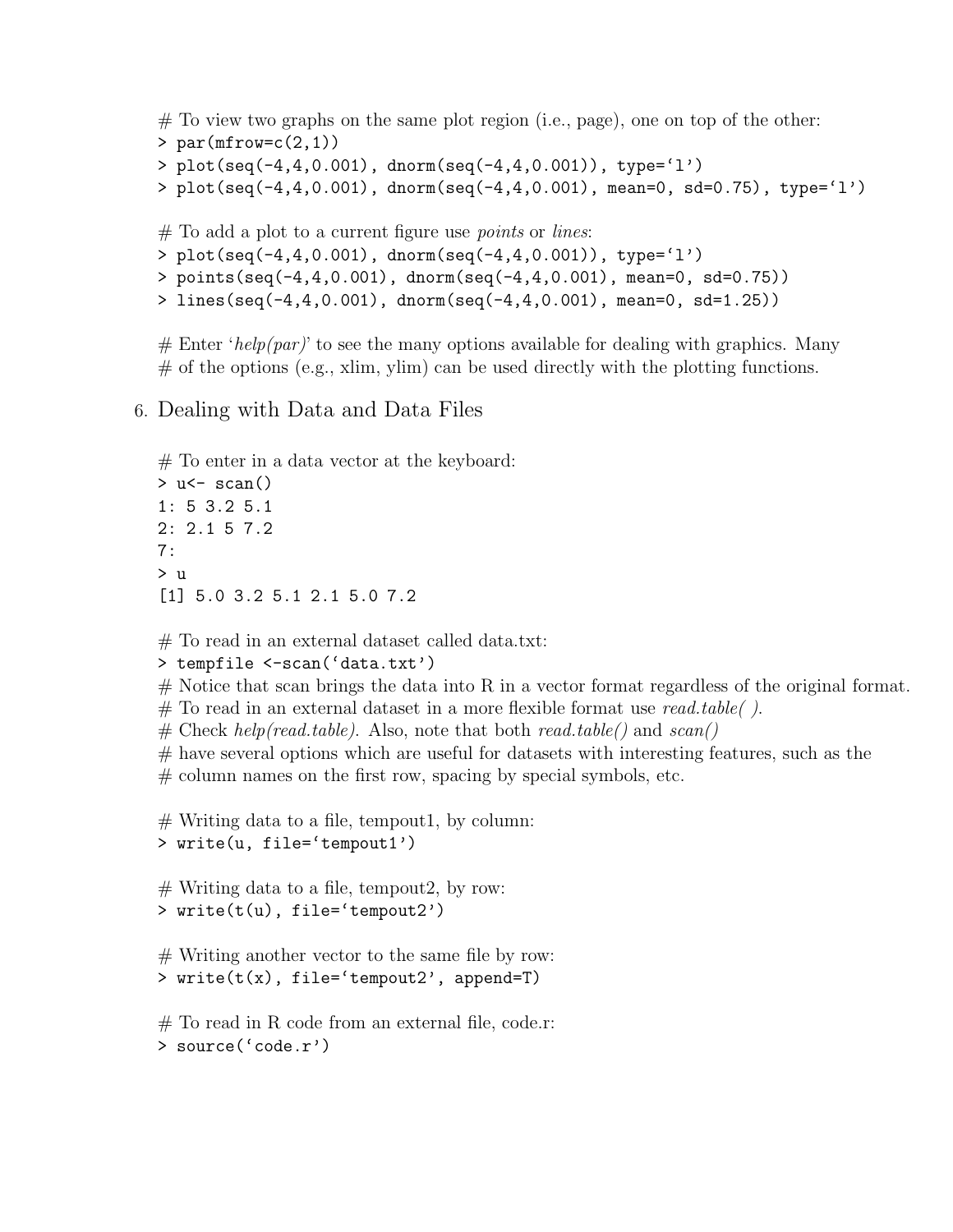```
# To view two graphs on the same plot region (i.e., page), one on top of the other:
> par(mfrow=c(2,1))
> plot(seq(-4,4,0.001), dnorm(seq(-4,4,0.001)), type='l')
> plot(seq(-4,4,0.001), dnorm(seq(-4,4,0.001), mean=0, sd=0.75), type='l')
```
# To add a plot to a current figure use *points* or *lines*:

```
> plot(seq(-4,4,0.001), dnorm(seq(-4,4,0.001)), type='l')
```
> points(seq(-4,4,0.001), dnorm(seq(-4,4,0.001), mean=0, sd=0.75))

```
> lines(seq(-4,4,0.001), dnorm(seq(-4,4,0.001), mean=0, sd=1.25))
```
 $#$  Enter '*help(par)*' to see the many options available for dealing with graphics. Many  $#$  of the options (e.g., xlim, ylim) can be used directly with the plotting functions.

# 6. Dealing with Data and Data Files

```
# To enter in a data vector at the keyboard:
> u\leq scan()
1: 5 3.2 5.1
2: 2.1 5 7.2
7:
> u
[1] 5.0 3.2 5.1 2.1 5.0 7.2
```
# To read in an external dataset called data.txt:

> tempfile <-scan('data.txt')

 $#$  Notice that scan brings the data into R in a vector format regardless of the original format.

# To read in an external dataset in a more flexible format use *read.table( )*.

# Check *help(read.table)*. Also, note that both *read.table()* and *scan()*

 $#$  have several options which are useful for datasets with interesting features, such as the

# column names on the first row, spacing by special symbols, etc.

 $#$  Writing data to a file, tempout1, by column: > write(u, file='tempout1')

 $#$  Writing data to a file, tempout 2, by row: > write(t(u), file='tempout2')

# Writing another vector to the same file by row: > write(t(x), file='tempout2', append=T)

 $#$  To read in R code from an external file, code.r: > source('code.r')